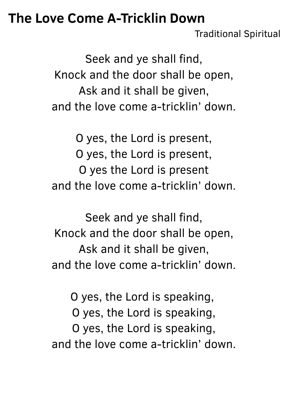## **The Love Come A-Tricklin Down**

Traditional Spiritual

Seek and ye shall find, Knock and the door shall be open, Ask and it shall be given, and the love come a-tricklin' down.

O yes, the Lord is present, O yes, the Lord is present, O yes the Lord is present and the love come a-tricklin' down.

Seek and ye shall find, Knock and the door shall be open, Ask and it shall be given, and the love come a-tricklin' down.

O yes, the Lord is speaking, O yes, the Lord is speaking, O yes, the Lord is speaking, and the love come a-tricklin' down.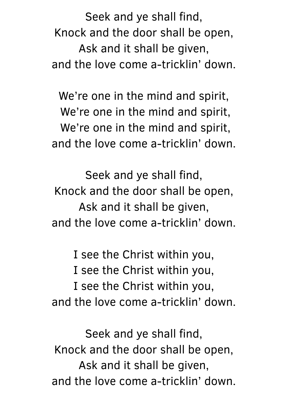Seek and ye shall find, Knock and the door shall be open, Ask and it shall be given, and the love come a-tricklin' down.

We're one in the mind and spirit, We're one in the mind and spirit, We're one in the mind and spirit, and the love come a-tricklin' down.

Seek and ye shall find, Knock and the door shall be open, Ask and it shall be given, and the love come a-tricklin' down.

I see the Christ within you, I see the Christ within you, I see the Christ within you, and the love come a-tricklin' down.

Seek and ye shall find, Knock and the door shall be open, Ask and it shall be given, and the love come a-tricklin' down.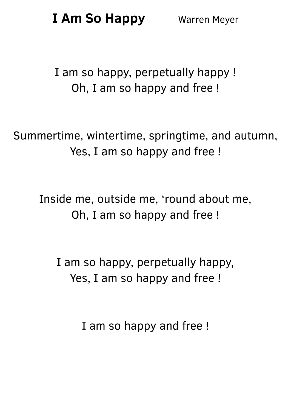**I Am So Happy** Warren Meyer

I am so happy, perpetually happy ! Oh, I am so happy and free !

Summertime, wintertime, springtime, and autumn, Yes, I am so happy and free !

Inside me, outside me, 'round about me, Oh, I am so happy and free !

I am so happy, perpetually happy, Yes, I am so happy and free !

I am so happy and free !